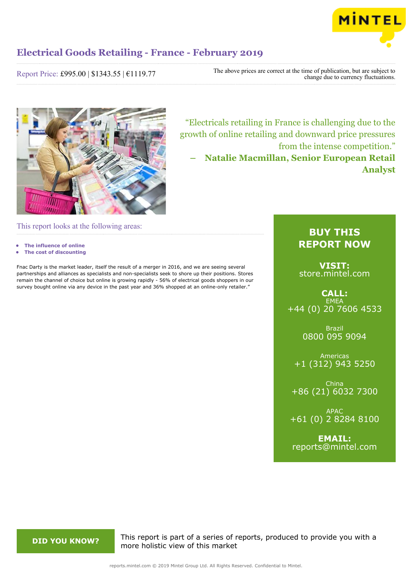

**Analyst**

# **Electrical Goods Retailing - France - February 2019**

Report Price: £995.00 | \$1343.55 | €1119.77

The above prices are correct at the time of publication, but are subject to change due to currency fluctuations.



"Electricals retailing in France is challenging due to the growth of online retailing and downward price pressures from the intense competition." **– Natalie Macmillan, Senior European Retail**

This report looks at the following areas:

- **• The influence of online**
- **• The cost of discounting**

Fnac Darty is the market leader, itself the result of a merger in 2016, and we are seeing several partnerships and alliances as specialists and non-specialists seek to shore up their positions. Stores remain the channel of choice but online is growing rapidly - 56% of electrical goods shoppers in our survey bought online via any device in the past year and 36% shopped at an online-only retailer."

# **BUY THIS REPORT NOW**

**VISIT:** [store.mintel.com](http://reports.mintel.com//display/store/920318/)

**CALL: EMEA** +44 (0) 20 7606 4533

> Brazil 0800 095 9094

Americas +1 (312) 943 5250

China +86 (21) 6032 7300

APAC +61 (0) 2 8284 8100

**EMAIL:** [reports@mintel.com](mailto:reports@mintel.com)

**DID YOU KNOW?** This report is part of a series of reports, produced to provide you with a more holistic view of this market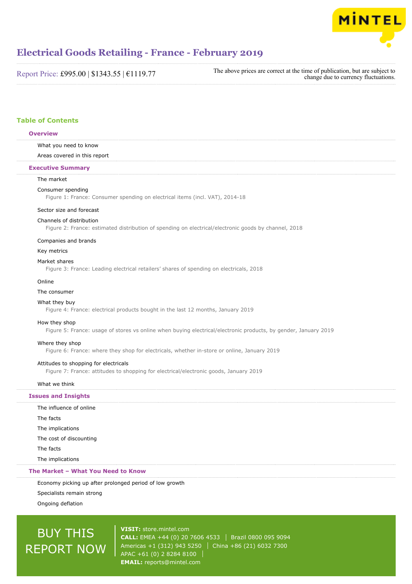

| Report Price: £995.00   \$1343.55   €1119.77 | The above prices are correct at the time of publication, but are subject to<br>change due to currency fluctuations. |
|----------------------------------------------|---------------------------------------------------------------------------------------------------------------------|
|----------------------------------------------|---------------------------------------------------------------------------------------------------------------------|

## **Table of Contents**

### **Overview**

#### What you need to know

Areas covered in this report

#### **Executive Summary**

### The market

Consumer spending

Figure 1: France: Consumer spending on electrical items (incl. VAT), 2014-18

#### Sector size and forecast

#### Channels of distribution

Figure 2: France: estimated distribution of spending on electrical/electronic goods by channel, 2018

#### Companies and brands

Key metrics

### Market shares

Figure 3: France: Leading electrical retailers' shares of spending on electricals, 2018

#### Online

The consumer

#### What they buy

Figure 4: France: electrical products bought in the last 12 months, January 2019

#### How they shop

Figure 5: France: usage of stores vs online when buying electrical/electronic products, by gender, January 2019

#### Where they shop

Figure 6: France: where they shop for electricals, whether in-store or online, January 2019

#### Attitudes to shopping for electricals

Figure 7: France: attitudes to shopping for electrical/electronic goods, January 2019

## What we think

#### **Issues and Insights**

The influence of online The facts The implications The cost of discounting The facts The implications **The Market – What You Need to Know**

Economy picking up after prolonged period of low growth

Specialists remain strong

Ongoing deflation

# BUY THIS REPORT NOW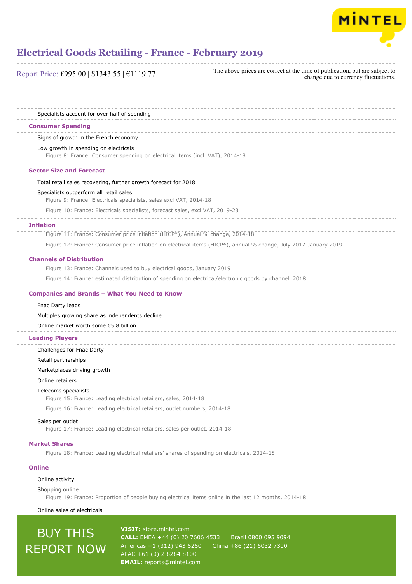

| Report Price: £995.00   \$1343.55   €1119.77                                                                             | The above prices are correct at the time of publication, but are subject to<br>change due to currency fluctuations. |
|--------------------------------------------------------------------------------------------------------------------------|---------------------------------------------------------------------------------------------------------------------|
|                                                                                                                          |                                                                                                                     |
| Specialists account for over half of spending                                                                            |                                                                                                                     |
| <b>Consumer Spending</b>                                                                                                 |                                                                                                                     |
| Signs of growth in the French economy                                                                                    |                                                                                                                     |
| Low growth in spending on electricals<br>Figure 8: France: Consumer spending on electrical items (incl. VAT), 2014-18    |                                                                                                                     |
| <b>Sector Size and Forecast</b>                                                                                          |                                                                                                                     |
| Total retail sales recovering, further growth forecast for 2018                                                          |                                                                                                                     |
| Specialists outperform all retail sales<br>Figure 9: France: Electricals specialists, sales excl VAT, 2014-18            |                                                                                                                     |
| Figure 10: France: Electricals specialists, forecast sales, excl VAT, 2019-23                                            |                                                                                                                     |
| <b>Inflation</b>                                                                                                         |                                                                                                                     |
| Figure 11: France: Consumer price inflation (HICP*), Annual % change, 2014-18                                            |                                                                                                                     |
|                                                                                                                          | Figure 12: France: Consumer price inflation on electrical items (HICP*), annual % change, July 2017-January 2019    |
| <b>Channels of Distribution</b>                                                                                          |                                                                                                                     |
| Figure 13: France: Channels used to buy electrical goods, January 2019                                                   |                                                                                                                     |
| Figure 14: France: estimated distribution of spending on electrical/electronic goods by channel, 2018                    |                                                                                                                     |
| <b>Companies and Brands - What You Need to Know</b>                                                                      |                                                                                                                     |
| Fnac Darty leads                                                                                                         |                                                                                                                     |
| Multiples growing share as independents decline                                                                          |                                                                                                                     |
| Online market worth some €5.8 billion                                                                                    |                                                                                                                     |
| <b>Leading Players</b>                                                                                                   |                                                                                                                     |
| Challenges for Fnac Darty                                                                                                |                                                                                                                     |
| Retail partnerships                                                                                                      |                                                                                                                     |
| Marketplaces driving growth                                                                                              |                                                                                                                     |
| Online retailers                                                                                                         |                                                                                                                     |
| Telecoms specialists                                                                                                     |                                                                                                                     |
| Figure 15: France: Leading electrical retailers, sales, 2014-18                                                          |                                                                                                                     |
| Figure 16: France: Leading electrical retailers, outlet numbers, 2014-18                                                 |                                                                                                                     |
| Sales per outlet<br>Figure 17: France: Leading electrical retailers, sales per outlet, 2014-18                           |                                                                                                                     |
| <b>Market Shares</b>                                                                                                     |                                                                                                                     |
| Figure 18: France: Leading electrical retailers' shares of spending on electricals, 2014-18                              |                                                                                                                     |
| <b>Online</b>                                                                                                            |                                                                                                                     |
| Online activity                                                                                                          |                                                                                                                     |
| Shopping online<br>Figure 19: France: Proportion of people buying electrical items online in the last 12 months, 2014-18 |                                                                                                                     |
| Online sales of electricals                                                                                              |                                                                                                                     |

BUY THIS REPORT NOW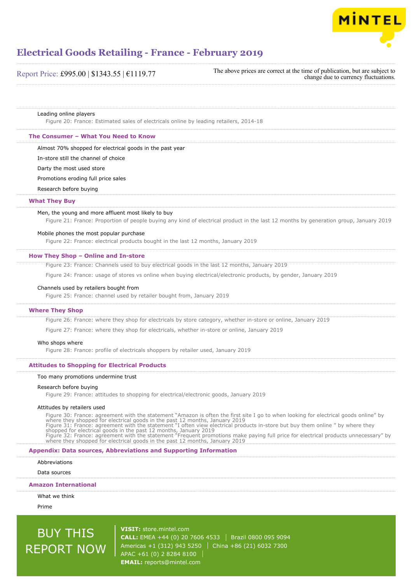

| Report Price: £995.00   \$1343.55   €1119.77 |  |  |  |
|----------------------------------------------|--|--|--|
|----------------------------------------------|--|--|--|

The above prices are correct at the time of publication, but are subject to change due to currency fluctuations.

Leading online players

Figure 20: France: Estimated sales of electricals online by leading retailers, 2014-18

#### **The Consumer – What You Need to Know**

Almost 70% shopped for electrical goods in the past year

In-store still the channel of choice

Darty the most used store

Promotions eroding full price sales

Research before buying

### **What They Buy**

#### Men, the young and more affluent most likely to buy

Figure 21: France: Proportion of people buying any kind of electrical product in the last 12 months by generation group, January 2019

#### Mobile phones the most popular purchase

Figure 22: France: electrical products bought in the last 12 months, January 2019

#### **How They Shop – Online and In-store**

Figure 23: France: Channels used to buy electrical goods in the last 12 months, January 2019

Figure 24: France: usage of stores vs online when buying electrical/electronic products, by gender, January 2019

#### Channels used by retailers bought from

Figure 25: France: channel used by retailer bought from, January 2019

#### **Where They Shop**

Figure 26: France: where they shop for electricals by store category, whether in-store or online, January 2019

Figure 27: France: where they shop for electricals, whether in-store or online, January 2019

#### Who shops where

Figure 28: France: profile of electricals shoppers by retailer used, January 2019

#### **Attitudes to Shopping for Electrical Products**

#### Too many promotions undermine trust

#### Research before buying

Figure 29: France: attitudes to shopping for electrical/electronic goods, January 2019

#### Attitudes by retailers used

Figure 30: France: agreement with the statement "Amazon is often the first site I go to when looking for electrical goods online" by where they shopped for electrical goods in the past 12 months, January 2019 Figure 31: France: agreement with the statement "I often view electrical products in-store but buy them online " by where they<br>shopped for electrical goods in the past 12 months, January 2019<br>Figure 32: France: agreement w where they shopped for electrical goods in the past 12 months, January 2019

#### **Appendix: Data sources, Abbreviations and Supporting Information**

Abbreviations

Data sources

#### **Amazon International**

What we think

Prime

# BUY THIS REPORT NOW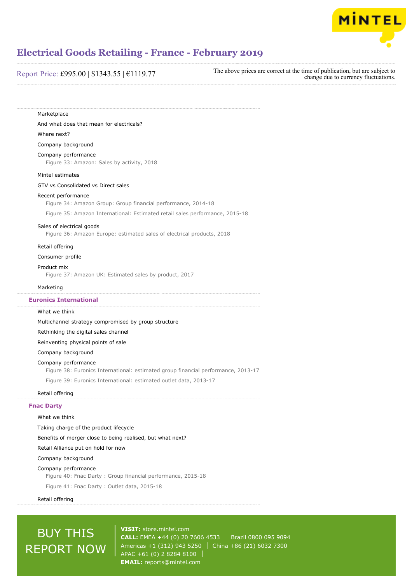

The above prices are correct at the time of publication, but are subject to change due to currency fluctuations.

#### Marketplace

And what does that mean for electricals?

#### Where next?

Company background

## Company performance

Figure 33: Amazon: Sales by activity, 2018

#### Mintel estimates

GTV vs Consolidated vs Direct sales

#### Recent performance

Figure 34: Amazon Group: Group financial performance, 2014-18

Figure 35: Amazon International: Estimated retail sales performance, 2015-18

### Sales of electrical goods

Figure 36: Amazon Europe: estimated sales of electrical products, 2018

#### Retail offering

#### Consumer profile

Product mix

Figure 37: Amazon UK: Estimated sales by product, 2017

#### Marketing

### **Euronics International**

#### What we think

Multichannel strategy compromised by group structure

Rethinking the digital sales channel

Reinventing physical points of sale

### Company background

#### Company performance

Figure 38: Euronics International: estimated group financial performance, 2013-17

Figure 39: Euronics International: estimated outlet data, 2013-17

## Retail offering

#### **Fnac Darty**

#### What we think

Taking charge of the product lifecycle

Benefits of merger close to being realised, but what next?

Retail Alliance put on hold for now

#### Company background

#### Company performance

Figure 40: Fnac Darty : Group financial performance, 2015-18

Figure 41: Fnac Darty : Outlet data, 2015-18

Retail offering

# BUY THIS REPORT NOW